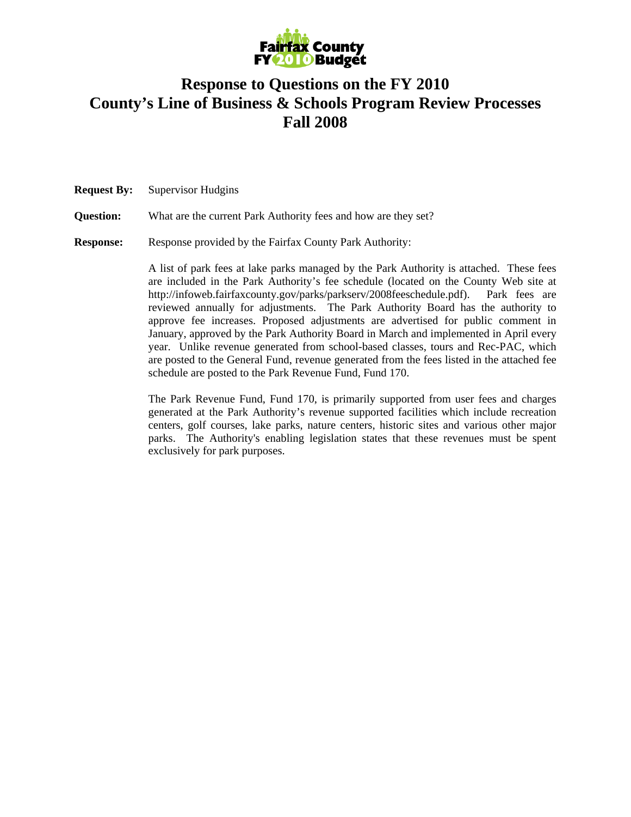

## **Response to Questions on the FY 2010 County's Line of Business & Schools Program Review Processes Fall 2008**

**Request By:** Supervisor Hudgins

**Question:** What are the current Park Authority fees and how are they set?

**Response:** Response provided by the Fairfax County Park Authority:

A list of park fees at lake parks managed by the Park Authority is attached. These fees are included in the Park Authority's fee schedule (located on the County Web site at http://infoweb.fairfaxcounty.gov/parks/parkserv/2008feeschedule.pdf). Park fees are reviewed annually for adjustments. The Park Authority Board has the authority to approve fee increases. Proposed adjustments are advertised for public comment in January, approved by the Park Authority Board in March and implemented in April every year. Unlike revenue generated from school-based classes, tours and Rec-PAC, which are posted to the General Fund, revenue generated from the fees listed in the attached fee schedule are posted to the Park Revenue Fund, Fund 170.

The Park Revenue Fund, Fund 170, is primarily supported from user fees and charges generated at the Park Authority's revenue supported facilities which include recreation centers, golf courses, lake parks, nature centers, historic sites and various other major parks. The Authority's enabling legislation states that these revenues must be spent exclusively for park purposes.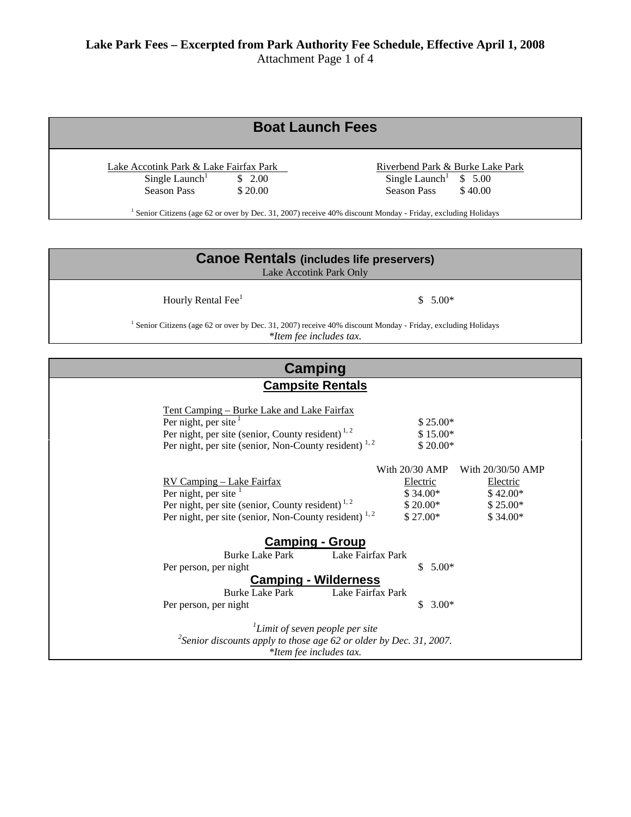## **Boat Launch Fees**   $\frac{\text{Take Account } \text{Park } \& \text{ Lake Fairfax Park}}{\text{Single Laurent}}$  Single Launch<sup>1</sup> \$ 2.00 <br>Riverbend Park & Burke Lake Park  $\frac{1}{\text{Single Lambert}}$  \$ 5.00 Season Pass  $$ 20.00$  Season Pass  $$ 40.00$ <sup>1</sup> Senior Citizens (age 62 or over by Dec. 31, 2007) receive 40% discount Monday - Friday, excluding Holidays

| <b>Canoe Rentals (includes life preservers)</b><br>Lake Accotink Park Only                                                                                                                            |                                                                                                  |
|-------------------------------------------------------------------------------------------------------------------------------------------------------------------------------------------------------|--------------------------------------------------------------------------------------------------|
| Hourly Rental Fee <sup>1</sup>                                                                                                                                                                        | \$<br>$5.00*$                                                                                    |
| <sup>1</sup> Senior Citizens (age 62 or over by Dec. 31, 2007) receive 40% discount Monday - Friday, excluding Holidays<br>*Item fee includes tax.                                                    |                                                                                                  |
| <b>Camping</b>                                                                                                                                                                                        |                                                                                                  |
| <b>Campsite Rentals</b>                                                                                                                                                                               |                                                                                                  |
| Tent Camping - Burke Lake and Lake Fairfax<br>Per night, per site<br>Per night, per site (senior, County resident) <sup>1,2</sup><br>Per night, per site (senior, Non-County resident) <sup>1,2</sup> | \$25.00*<br>$$15.00*$<br>$$20.00*$<br>With 20/30 AMP<br>With 20/30/50 AMP                        |
| RV Camping - Lake Fairfax<br>Per night, per site<br>Per night, per site (senior, County resident) <sup>1,2</sup><br>Per night, per site (senior, Non-County resident) <sup>1,2</sup>                  | Electric<br>Electric<br>$$34.00*$<br>\$42.00*<br>$$20.00*$<br>$$25.00*$<br>$$27.00*$<br>\$34.00* |
| <b>Camping - Group</b><br><b>Burke Lake Park</b><br>Lake Fairfax Park<br>Per person, per night<br><b>Camping - Wilderness</b><br>Lake Fairfax Park<br><b>Burke Lake Park</b><br>Per person, per night | $5.00*$<br>\$<br>$3.00*$<br>\$.                                                                  |
| $\mu$ Limit of seven people per site<br><sup>2</sup> Senior discounts apply to those age 62 or older by Dec. 31, 2007.<br>*Item fee includes tax.                                                     |                                                                                                  |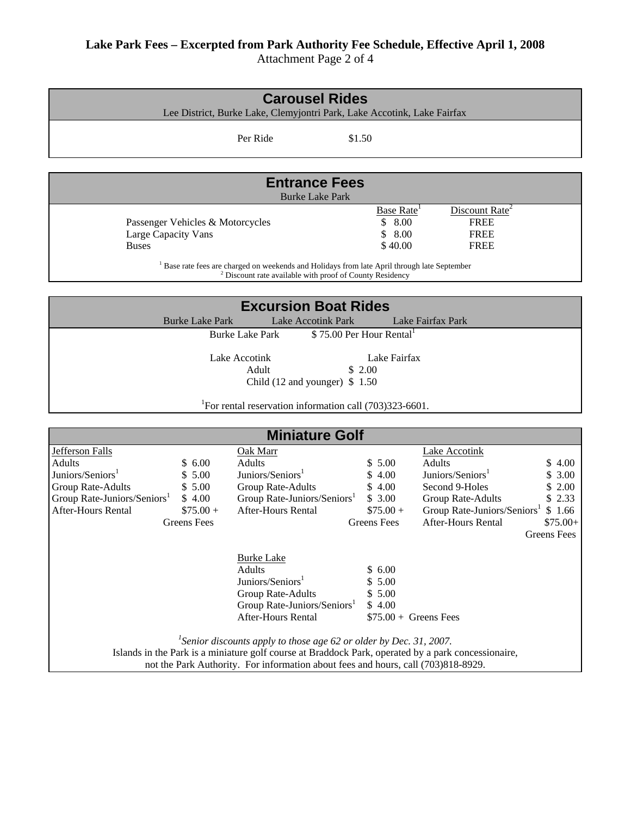## **Lake Park Fees – Excerpted from Park Authority Fee Schedule, Effective April 1, 2008**

Attachment Page 2 of 4

| <b>Carousel Rides</b>                                                                                                                                                                 |                                  |                                                                                                         |                         |                                         |                    |
|---------------------------------------------------------------------------------------------------------------------------------------------------------------------------------------|----------------------------------|---------------------------------------------------------------------------------------------------------|-------------------------|-----------------------------------------|--------------------|
|                                                                                                                                                                                       |                                  | Lee District, Burke Lake, Clemyjontri Park, Lake Accotink, Lake Fairfax                                 |                         |                                         |                    |
|                                                                                                                                                                                       |                                  | Per Ride                                                                                                | \$1.50                  |                                         |                    |
|                                                                                                                                                                                       |                                  |                                                                                                         |                         |                                         |                    |
|                                                                                                                                                                                       |                                  |                                                                                                         |                         |                                         |                    |
|                                                                                                                                                                                       |                                  | <b>Entrance Fees</b>                                                                                    |                         |                                         |                    |
|                                                                                                                                                                                       |                                  | <b>Burke Lake Park</b>                                                                                  |                         |                                         |                    |
|                                                                                                                                                                                       |                                  |                                                                                                         | Base Rate <sup>1</sup>  | Discount Rate <sup>2</sup>              |                    |
|                                                                                                                                                                                       | Passenger Vehicles & Motorcycles |                                                                                                         | \$8.00                  | <b>FREE</b>                             |                    |
| Large Capacity Vans                                                                                                                                                                   |                                  |                                                                                                         | \$<br>8.00              | <b>FREE</b>                             |                    |
| <b>Buses</b>                                                                                                                                                                          |                                  |                                                                                                         | \$40.00                 | <b>FREE</b>                             |                    |
|                                                                                                                                                                                       |                                  | <sup>1</sup> Base rate fees are charged on weekends and Holidays from late April through late September |                         |                                         |                    |
|                                                                                                                                                                                       |                                  | <sup>2</sup> Discount rate available with proof of County Residency                                     |                         |                                         |                    |
|                                                                                                                                                                                       |                                  | <b>Excursion Boat Rides</b>                                                                             |                         |                                         |                    |
|                                                                                                                                                                                       | <b>Burke Lake Park</b>           | <b>Lake Accotink Park</b>                                                                               |                         | Lake Fairfax Park                       |                    |
|                                                                                                                                                                                       |                                  | <b>Burke Lake Park</b>                                                                                  | \$75.00 Per Hour Rental |                                         |                    |
|                                                                                                                                                                                       |                                  |                                                                                                         |                         |                                         |                    |
|                                                                                                                                                                                       |                                  | Lake Accotink                                                                                           | Lake Fairfax            |                                         |                    |
|                                                                                                                                                                                       |                                  | Adult                                                                                                   | \$2.00                  |                                         |                    |
|                                                                                                                                                                                       |                                  | Child $(12 \text{ and younger})$ \$ 1.50                                                                |                         |                                         |                    |
|                                                                                                                                                                                       |                                  |                                                                                                         |                         |                                         |                    |
|                                                                                                                                                                                       |                                  | For rental reservation information call (703)323-6601.                                                  |                         |                                         |                    |
|                                                                                                                                                                                       |                                  | <b>Miniature Golf</b>                                                                                   |                         |                                         |                    |
| Jefferson Falls                                                                                                                                                                       |                                  | Oak Marr                                                                                                |                         | <b>Lake Accotink</b>                    |                    |
| <b>Adults</b>                                                                                                                                                                         | \$6.00                           | Adults                                                                                                  | \$5.00                  | Adults                                  | \$4.00             |
| Juniors/Seniors <sup>1</sup>                                                                                                                                                          | \$5.00                           | Juniors/Seniors <sup>1</sup>                                                                            | 4.00                    | Juniors/Seniors <sup>1</sup>            | \$3.00             |
| Group Rate-Adults                                                                                                                                                                     | \$5.00                           | Group Rate-Adults                                                                                       | \$4.00                  | Second 9-Holes                          | \$2.00             |
| Group Rate-Juniors/Seniors <sup>1</sup>                                                                                                                                               | \$4.00                           | Group Rate-Juniors/Seniors <sup>1</sup>                                                                 | \$3.00                  | Group Rate-Adults                       | \$2.33             |
| <b>After-Hours Rental</b>                                                                                                                                                             | $$75.00+$                        | <b>After-Hours Rental</b>                                                                               | $$75.00+$               | Group Rate-Juniors/Seniors <sup>1</sup> | \$1.66             |
|                                                                                                                                                                                       | <b>Greens</b> Fees               |                                                                                                         | <b>Greens</b> Fees      | <b>After-Hours Rental</b>               | $$75.00+$          |
|                                                                                                                                                                                       |                                  |                                                                                                         |                         |                                         | <b>Greens</b> Fees |
|                                                                                                                                                                                       |                                  |                                                                                                         |                         |                                         |                    |
|                                                                                                                                                                                       |                                  | <b>Burke Lake</b>                                                                                       |                         |                                         |                    |
|                                                                                                                                                                                       |                                  | Adults                                                                                                  | \$6.00                  |                                         |                    |
|                                                                                                                                                                                       |                                  | Juniors/Seniors <sup>1</sup>                                                                            | \$5.00                  |                                         |                    |
|                                                                                                                                                                                       |                                  | Group Rate-Adults                                                                                       | \$5.00                  |                                         |                    |
|                                                                                                                                                                                       |                                  | Group Rate-Juniors/Seniors <sup>1</sup>                                                                 | \$4.00                  |                                         |                    |
| After-Hours Rental<br>$$75.00 +$ Greens Fees                                                                                                                                          |                                  |                                                                                                         |                         |                                         |                    |
|                                                                                                                                                                                       |                                  |                                                                                                         |                         |                                         |                    |
| <sup>1</sup> Senior discounts apply to those age 62 or older by Dec. 31, 2007.<br>Islands in the Park is a miniature golf course at Braddock Park, operated by a park concessionaire, |                                  |                                                                                                         |                         |                                         |                    |
| not the Park Authority. For information about fees and hours, call (703)818-8929.                                                                                                     |                                  |                                                                                                         |                         |                                         |                    |
|                                                                                                                                                                                       |                                  |                                                                                                         |                         |                                         |                    |
|                                                                                                                                                                                       |                                  |                                                                                                         |                         |                                         |                    |
|                                                                                                                                                                                       |                                  |                                                                                                         |                         |                                         |                    |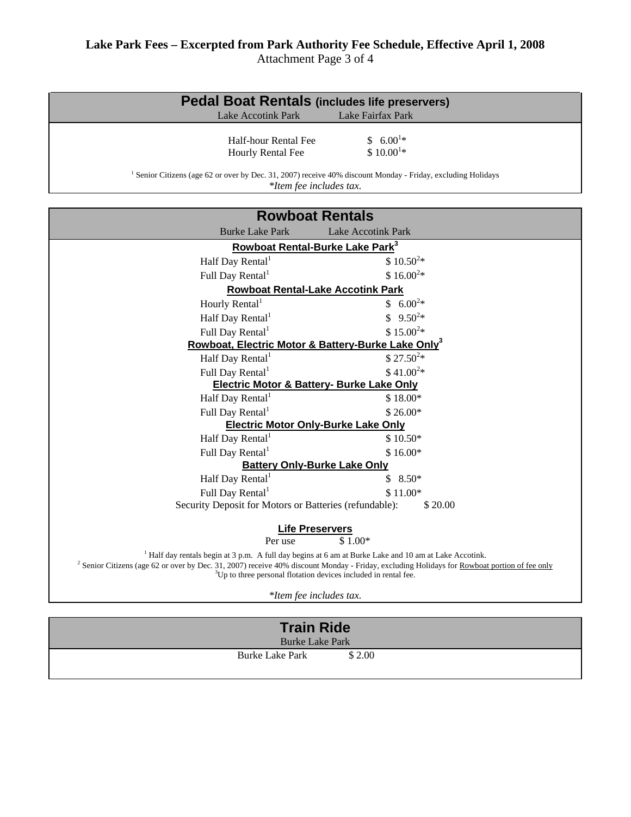| <b>Pedal Boat Rentals (includes life preservers)</b>                                                                                                                               |                               |  |
|------------------------------------------------------------------------------------------------------------------------------------------------------------------------------------|-------------------------------|--|
| <b>Lake Accotink Park</b>                                                                                                                                                          | Lake Fairfax Park             |  |
| Half-hour Rental Fee<br>Hourly Rental Fee<br>Senior Citizens (age 62 or over by Dec. 31, 2007) receive 40% discount Monday - Friday, excluding Holidays<br>*Item fee includes tax. | $$6.00^{1*}$<br>$$10.00^{1*}$ |  |

| <b>Rowboat Rentals</b>                                                                                                                                                                                                                                                                                                                                      |                                                      |  |
|-------------------------------------------------------------------------------------------------------------------------------------------------------------------------------------------------------------------------------------------------------------------------------------------------------------------------------------------------------------|------------------------------------------------------|--|
| <b>Burke Lake Park</b>                                                                                                                                                                                                                                                                                                                                      | <b>Lake Accotink Park</b>                            |  |
| <b>Rowboat Rental-Burke Lake Park</b> <sup>3</sup>                                                                                                                                                                                                                                                                                                          |                                                      |  |
| Half Day Rental <sup>1</sup>                                                                                                                                                                                                                                                                                                                                | $$10.50^{2*}$                                        |  |
| Full Day Rental <sup>1</sup>                                                                                                                                                                                                                                                                                                                                | $$16.00^{2*}$                                        |  |
| <b>Rowboat Rental-Lake Accotink Park</b>                                                                                                                                                                                                                                                                                                                    |                                                      |  |
| Hourly Rental <sup>1</sup>                                                                                                                                                                                                                                                                                                                                  | $$6.00^{2*}$                                         |  |
| Half Day Rental <sup>1</sup>                                                                                                                                                                                                                                                                                                                                | $9.50^{2*}$<br>\$                                    |  |
| Full Day Rental <sup>1</sup>                                                                                                                                                                                                                                                                                                                                | $$15.00^{2*}$                                        |  |
| Rowboat, Electric Motor & Battery-Burke Lake Only <sup>3</sup>                                                                                                                                                                                                                                                                                              |                                                      |  |
| Half Day Rental <sup>1</sup>                                                                                                                                                                                                                                                                                                                                | $$27.50^{2}*$                                        |  |
| Full Day Rental <sup>1</sup>                                                                                                                                                                                                                                                                                                                                | $$41.00^{2*}$                                        |  |
|                                                                                                                                                                                                                                                                                                                                                             | <b>Electric Motor &amp; Battery- Burke Lake Only</b> |  |
| Half Day Rental                                                                                                                                                                                                                                                                                                                                             | $$18.00*$                                            |  |
| Full Day Rental <sup>1</sup>                                                                                                                                                                                                                                                                                                                                | $$26.00*$                                            |  |
| <b>Electric Motor Only-Burke Lake Only</b>                                                                                                                                                                                                                                                                                                                  |                                                      |  |
| Half Day Rental <sup>1</sup>                                                                                                                                                                                                                                                                                                                                | $$10.50*$                                            |  |
| Full Day Rental <sup>1</sup>                                                                                                                                                                                                                                                                                                                                | $$16.00*$                                            |  |
| <b>Battery Only-Burke Lake Only</b>                                                                                                                                                                                                                                                                                                                         |                                                      |  |
| Half Day Rental <sup>1</sup>                                                                                                                                                                                                                                                                                                                                | \$<br>$8.50*$                                        |  |
| Full Day Rental <sup>1</sup>                                                                                                                                                                                                                                                                                                                                | $$11.00*$                                            |  |
| Security Deposit for Motors or Batteries (refundable):<br>\$20.00                                                                                                                                                                                                                                                                                           |                                                      |  |
| <b>Life Preservers</b>                                                                                                                                                                                                                                                                                                                                      |                                                      |  |
| Per use                                                                                                                                                                                                                                                                                                                                                     | $$1.00*$                                             |  |
| <sup>1</sup> Half day rentals begin at 3 p.m. A full day begins at 6 am at Burke Lake and 10 am at Lake Accotink.<br><sup>2</sup> Senior Citizens (age 62 or over by Dec. 31, 2007) receive 40% discount Monday - Friday, excluding Holidays for Rowboat portion of fee only<br><sup>3</sup> Up to three personal flotation devices included in rental fee. |                                                      |  |

*\*Item fee includes tax.*

| <b>Train Ride</b>      |        |  |
|------------------------|--------|--|
| <b>Burke Lake Park</b> |        |  |
| Burke Lake Park        | \$2.00 |  |